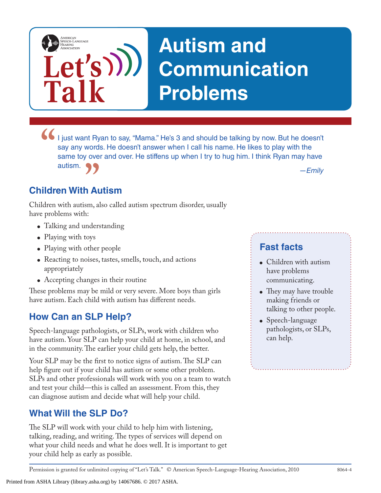# **Autism and Communication Problems**

I just want Ryan to say, "Mama." He's 3 and should be talking by now. But he doesn't say any words. He doesn't answer when I call his name. He likes to play with the same toy over and over. He stiffens up when I try to hug say any words. He doesn't answer when I call his name. He likes to play with the same toy over and over. He stiffens up when I try to hug him. I think Ryan may have autism.

### **Children With Autism**

**Talk**

AMERICAN<br>SPEECH-LANGUAGE-<br>HEARING<br>ASSOCIATION

**Let's**

**17**<br> **h Autism**<br>
sm, also called autism spectrum disorder, usually Children with autism, also called autism spectrum disorder, usually have problems with:

- Talking and understanding
- Playing with toys
- Playing with other people
- Reacting to noises, tastes, smells, touch, and actions appropriately
- Accepting changes in their routine

These problems may be mild or very severe. More boys than girls have autism. Each child with autism has different needs.

### **How Can an SLP Help?**

Speech-language pathologists, or SLPs, work with children who have autism. Your SLP can help your child at home, in school, and in the community. The earlier your child gets help, the better.

Your SLP may be the first to notice signs of autism. The SLP can help figure out if your child has autism or some other problem. SLPs and other professionals will work with you on a team to watch and test your child—this is called an assessment. From this, they can diagnose autism and decide what will help your child.

### **What Will the SLP Do?**

The SLP will work with your child to help him with listening, talking, reading, and writing. The types of services will depend on what your child needs and what he does well. It is important to get your child help as early as possible.

Printed from ASHA Library (library.asha.org) by 14067686. © 2017 ASHA.

### **Fast facts**

- Children with autism have problems communicating.
- They may have trouble making friends or talking to other people.
- Speech-language pathologists, or SLPs, can help.